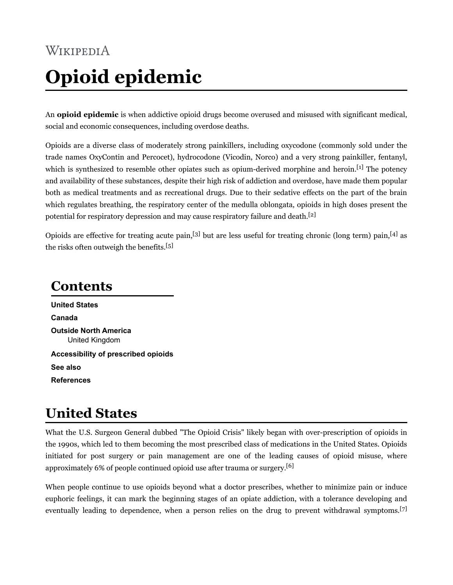# WIKIPEDIA Opioid epidemic

An **opioid epidemic** is when addictive opioid drugs become overused and misused with significant medical, social and economic consequences, including overdose deaths.

Opioids are a diverse class of moderately strong painkillers, including oxycodone (commonly sold under the trade names OxyContin and Percocet), hydrocodone (Vicodin, Norco) and a very strong painkiller, fentanyl, which is synthesized to resemble other opiates such as opium-derived morphine and heroin.<sup>[1]</sup> The potency and availability of these substances, despite their high risk of addiction and overdose, have made them popular both as medical treatments and as recreational drugs. Due to their sedative effects on the part of the brain which regulates breathing, the respiratory center of the medulla oblongata, opioids in high doses present the potential for respiratory depression and may cause respiratory failure and death.  $^{\left[ 2\right] }$ 

Opioids are effective for treating acute pain,[3] but are less useful for treating chronic (long term) pain,[4] as the risks often outweigh the benefits.[5]

#### Contents

United States Canada Outside North America United Kingdom Accessibility of prescribed opioids See also References

# United States

What the U.S. Surgeon General dubbed "The Opioid Crisis" likely began with over-prescription of opioids in the 1990s, which led to them becoming the most prescribed class of medications in the United States. Opioids initiated for post surgery or pain management are one of the leading causes of opioid misuse, where approximately 6% of people continued opioid use after trauma or surgery.<sup>[6]</sup>

When people continue to use opioids beyond what a doctor prescribes, whether to minimize pain or induce euphoric feelings, it can mark the beginning stages of an opiate addiction, with a tolerance developing and eventually leading to dependence, when a person relies on the drug to prevent withdrawal symptoms.<sup>[7]</sup>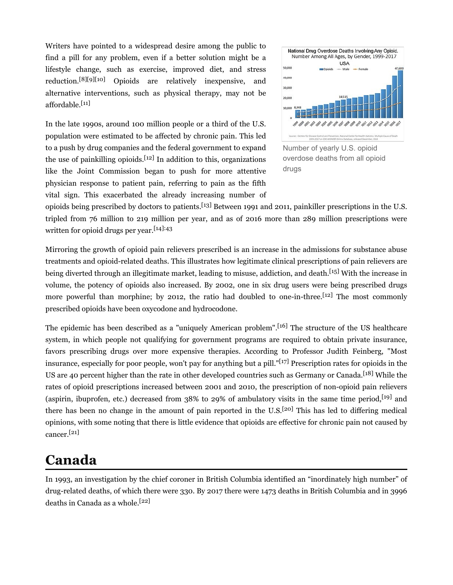Writers have pointed to a widespread desire among the public to find a pill for any problem, even if a better solution might be a lifestyle change, such as exercise, improved diet, and stress reduction.[8][9][10] Opioids are relatively inexpensive, and alternative interventions, such as physical therapy, may not be affordable.[11]

In the late 1990s, around 100 million people or a third of the U.S. population were estimated to be affected by chronic pain. This led to a push by drug companies and the federal government to expand the use of painkilling opioids.<sup>[12]</sup> In addition to this, organizations like the Joint Commission began to push for more attentive physician response to patient pain, referring to pain as the fifth vital sign. This exacerbated the already increasing number of



overdose deaths from all opioid drugs

opioids being prescribed by doctors to patients.[13] Between 1991 and 2011, painkiller prescriptions in the U.S. tripled from 76 million to 219 million per year, and as of 2016 more than 289 million prescriptions were written for opioid drugs per year.[14]:43

Mirroring the growth of opioid pain relievers prescribed is an increase in the admissions for substance abuse treatments and opioid-related deaths. This illustrates how legitimate clinical prescriptions of pain relievers are being diverted through an illegitimate market, leading to misuse, addiction, and death.<sup>[15]</sup> With the increase in volume, the potency of opioids also increased. By 2002, one in six drug users were being prescribed drugs more powerful than morphine; by 2012, the ratio had doubled to one-in-three.<sup>[12]</sup> The most commonly prescribed opioids have been oxycodone and hydrocodone.

The epidemic has been described as a "uniquely American problem".[16] The structure of the US healthcare system, in which people not qualifying for government programs are required to obtain private insurance, favors prescribing drugs over more expensive therapies. According to Professor Judith Feinberg, "Most insurance, especially for poor people, won't pay for anything but a pill."[17] Prescription rates for opioids in the US are 40 percent higher than the rate in other developed countries such as Germany or Canada.[18] While the rates of opioid prescriptions increased between 2001 and 2010, the prescription of non-opioid pain relievers (aspirin, ibuprofen, etc.) decreased from  $38\%$  to 29% of ambulatory visits in the same time period, [19] and there has been no change in the amount of pain reported in the U.S.[20] This has led to differing medical opinions, with some noting that there is little evidence that opioids are effective for chronic pain not caused by cancer. [21]

#### Canada

In 1993, an investigation by the chief coroner in British Columbia identified an "inordinately high number" of drug-related deaths, of which there were 330. By 2017 there were 1473 deaths in British Columbia and in 3996 deaths in Canada as a whole.<sup>[22]</sup>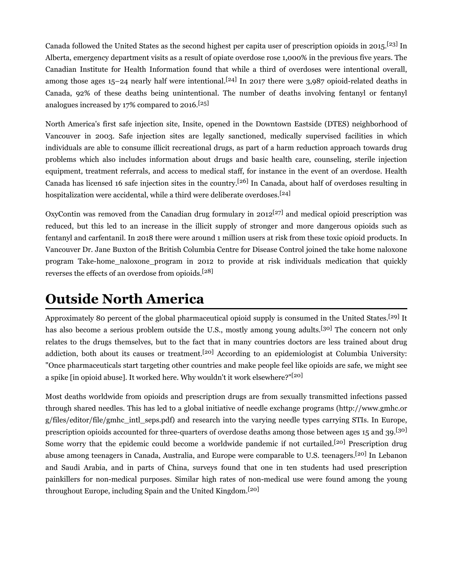Canada followed the United States as the second highest per capita user of prescription opioids in 2015.[23] In Alberta, emergency department visits as a result of opiate overdose rose 1,000% in the previous five years. The Canadian Institute for Health Information found that while a third of overdoses were intentional overall, among those ages  $15-24$  nearly half were intentional.<sup>[24]</sup> In 2017 there were 3,987 opioid-related deaths in Canada, 92% of these deaths being unintentional. The number of deaths involving fentanyl or fentanyl analogues increased by 17% compared to 2016.[25]

North America's first safe injection site, Insite, opened in the Downtown Eastside (DTES) neighborhood of Vancouver in 2003. Safe injection sites are legally sanctioned, medically supervised facilities in which individuals are able to consume illicit recreational drugs, as part of a harm reduction approach towards drug problems which also includes information about drugs and basic health care, counseling, sterile injection equipment, treatment referrals, and access to medical staff, for instance in the event of an overdose. Health Canada has licensed 16 safe injection sites in the country.[26] In Canada, about half of overdoses resulting in hospitalization were accidental, while a third were deliberate overdoses.<sup>[24]</sup>

OxyContin was removed from the Canadian drug formulary in  $2012^{[27]}$  and medical opioid prescription was reduced, but this led to an increase in the illicit supply of stronger and more dangerous opioids such as fentanyl and carfentanil. In 2018 there were around 1 million users at risk from these toxic opioid products. In Vancouver Dr. Jane Buxton of the British Columbia Centre for Disease Control joined the take home naloxone program Take-home\_naloxone\_program in 2012 to provide at risk individuals medication that quickly reverses the effects of an overdose from opioids.[28]

#### Outside North America

Approximately 80 percent of the global pharmaceutical opioid supply is consumed in the United States.<sup>[29]</sup> It has also become a serious problem outside the U.S., mostly among young adults.<sup>[30]</sup> The concern not only relates to the drugs themselves, but to the fact that in many countries doctors are less trained about drug addiction, both about its causes or treatment.<sup>[20]</sup> According to an epidemiologist at Columbia University: "Once pharmaceuticals start targeting other countries and make people feel like opioids are safe, we might see a spike [in opioid abuse]. It worked here. Why wouldn't it work elsewhere?"[20]

Most deaths worldwide from opioids and prescription drugs are from sexually transmitted infections passed through shared needles. This has led to a global initiative of needle exchange programs (http://www.gmhc.or g/files/editor/file/gmhc\_intl\_seps.pdf) and research into the varying needle types carrying STIs. In Europe, prescription opioids accounted for three-quarters of overdose deaths among those between ages 15 and 39.[30] Some worry that the epidemic could become a worldwide pandemic if not curtailed.<sup>[20]</sup> Prescription drug abuse among teenagers in Canada, Australia, and Europe were comparable to U.S. teenagers.[20] In Lebanon and Saudi Arabia, and in parts of China, surveys found that one in ten students had used prescription painkillers for non-medical purposes. Similar high rates of non-medical use were found among the young throughout Europe, including Spain and the United Kingdom.<sup>[20]</sup>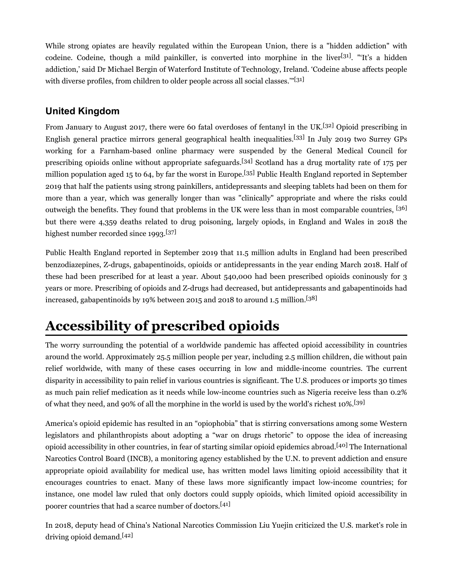While strong opiates are heavily regulated within the European Union, there is a "hidden addiction" with codeine. Codeine, though a mild painkiller, is converted into morphine in the liver<sup>[31]</sup>. "'It's a hidden addiction,' said Dr Michael Bergin of Waterford Institute of Technology, Ireland. 'Codeine abuse affects people with diverse profiles, from children to older people across all social classes.'"[31]

#### United Kingdom

From January to August 2017, there were 60 fatal overdoses of fentanyl in the UK.<sup>[32]</sup> Opioid prescribing in English general practice mirrors general geographical health inequalities.[33] In July 2019 two Surrey GPs working for a Farnham-based online pharmacy were suspended by the General Medical Council for prescribing opioids online without appropriate safeguards.[34] Scotland has a drug mortality rate of 175 per million population aged 15 to 64, by far the worst in Europe.<sup>[35]</sup> Public Health England reported in September 2019 that half the patients using strong painkillers, antidepressants and sleeping tablets had been on them for more than a year, which was generally longer than was "clinically" appropriate and where the risks could outweigh the benefits. They found that problems in the UK were less than in most comparable countries, [36] but there were 4,359 deaths related to drug poisoning, largely opiods, in England and Wales in 2018 the highest number recorded since  $1993$ <sup>[37]</sup>

Public Health England reported in September 2019 that 11.5 million adults in England had been prescribed benzodiazepines, Z-drugs, gabapentinoids, opioids or antidepressants in the year ending March 2018. Half of these had been prescribed for at least a year. About 540,000 had been prescribed opioids coninously for 3 years or more. Prescribing of opioids and Z-drugs had decreased, but antidepressants and gabapentinoids had increased, gabapentinoids by 19% between 2015 and 2018 to around 1.5 million.[38]

# Accessibility of prescribed opioids

The worry surrounding the potential of a worldwide pandemic has affected opioid accessibility in countries around the world. Approximately 25.5 million people per year, including 2.5 million children, die without pain relief worldwide, with many of these cases occurring in low and middle-income countries. The current disparity in accessibility to pain relief in various countries is significant. The U.S. produces or imports 30 times as much pain relief medication as it needs while low-income countries such as Nigeria receive less than 0.2% of what they need, and 90% of all the morphine in the world is used by the world's richest 10%.[39]

America's opioid epidemic has resulted in an "opiophobia" that is stirring conversations among some Western legislators and philanthropists about adopting a "war on drugs rhetoric" to oppose the idea of increasing opioid accessibility in other countries, in fear of starting similar opioid epidemics abroad.[40] The International Narcotics Control Board (INCB), a monitoring agency established by the U.N. to prevent addiction and ensure appropriate opioid availability for medical use, has written model laws limiting opioid accessibility that it encourages countries to enact. Many of these laws more significantly impact low-income countries; for instance, one model law ruled that only doctors could supply opioids, which limited opioid accessibility in poorer countries that had a scarce number of doctors.[41]

In 2018, deputy head of China's National Narcotics Commission Liu Yuejin criticized the U.S. market's role in driving opioid demand.[42]